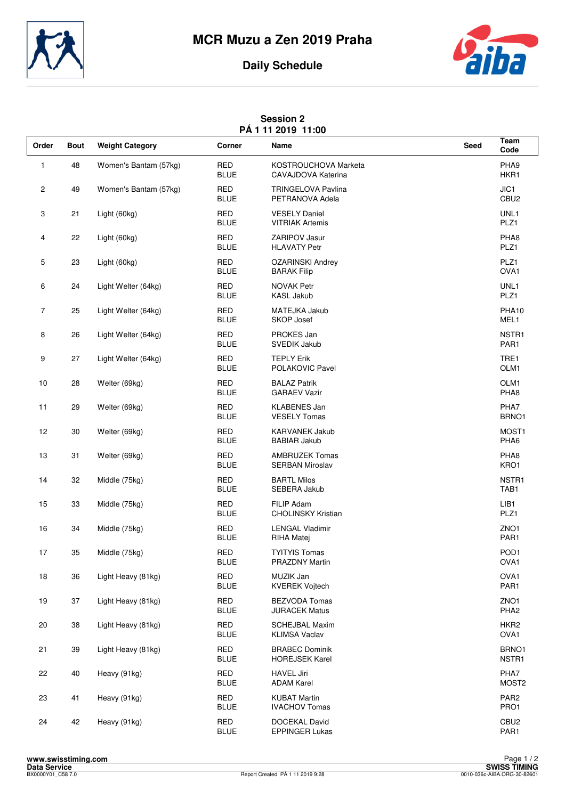



## **Daily Schedule**

|  | <b>Session 2</b> |                    |
|--|------------------|--------------------|
|  |                  | PÁ 1 11 2019 11:00 |

| Order          | <b>Bout</b> | <b>Weight Category</b> | Corner                    | FAIIL ZUI J<br>יטעוו<br>Name                    | Seed | Team<br>Code              |
|----------------|-------------|------------------------|---------------------------|-------------------------------------------------|------|---------------------------|
| 1              | 48          | Women's Bantam (57kg)  | <b>RED</b><br><b>BLUE</b> | KOSTROUCHOVA Marketa<br>CAVAJDOVA Katerina      |      | PHA9<br>HKR1              |
| 2              | 49          | Women's Bantam (57kg)  | <b>RED</b><br><b>BLUE</b> | <b>TRINGELOVA Pavlina</b><br>PETRANOVA Adela    |      | JIC1<br>CBU <sub>2</sub>  |
| 3              | 21          | Light (60kg)           | <b>RED</b><br><b>BLUE</b> | <b>VESELY Daniel</b><br><b>VITRIAK Artemis</b>  |      | UNL1<br>PLZ1              |
| 4              | 22          | Light (60kg)           | <b>RED</b><br><b>BLUE</b> | ZARIPOV Jasur<br><b>HLAVATY Petr</b>            |      | PHA8<br>PLZ1              |
| 5              | 23          | Light (60kg)           | <b>RED</b><br><b>BLUE</b> | <b>OZARINSKI Andrey</b><br><b>BARAK Filip</b>   |      | PLZ1<br>OVA1              |
| 6              | 24          | Light Welter (64kg)    | <b>RED</b><br><b>BLUE</b> | <b>NOVAK Petr</b><br><b>KASL Jakub</b>          |      | UNL1<br>PLZ1              |
| $\overline{7}$ | 25          | Light Welter (64kg)    | <b>RED</b><br><b>BLUE</b> | MATEJKA Jakub<br><b>SKOP Josef</b>              |      | PHA10<br>MEL1             |
| 8              | 26          | Light Welter (64kg)    | <b>RED</b><br><b>BLUE</b> | PROKES Jan<br><b>SVEDIK Jakub</b>               |      | NSTR1<br>PAR1             |
| 9              | 27          | Light Welter (64kg)    | <b>RED</b><br><b>BLUE</b> | <b>TEPLY Erik</b><br>POLAKOVIC Pavel            |      | TRE1<br>OLM1              |
| 10             | 28          | Welter (69kg)          | <b>RED</b><br><b>BLUE</b> | <b>BALAZ Patrik</b><br><b>GARAEV Vazir</b>      |      | OLM <sub>1</sub><br>PHA8  |
| 11             | 29          | Welter (69kg)          | <b>RED</b><br><b>BLUE</b> | <b>KLABENES Jan</b><br><b>VESELY Tomas</b>      |      | PHA7<br>BRNO1             |
| 12             | 30          | Welter (69kg)          | <b>RED</b><br><b>BLUE</b> | <b>KARVANEK Jakub</b><br><b>BABIAR Jakub</b>    |      | MOST <sub>1</sub><br>PHA6 |
| 13             | 31          | Welter (69kg)          | <b>RED</b><br><b>BLUE</b> | <b>AMBRUZEK Tomas</b><br><b>SERBAN Miroslav</b> |      | PHA8<br>KRO1              |
| 14             | 32          | Middle (75kg)          | <b>RED</b><br><b>BLUE</b> | <b>BARTL Milos</b><br>SEBERA Jakub              |      | NSTR1<br>TAB1             |
| 15             | 33          | Middle (75kg)          | <b>RED</b><br><b>BLUE</b> | <b>FILIP Adam</b><br><b>CHOLINSKY Kristian</b>  |      | LIB <sub>1</sub><br>PLZ1  |
| 16             | 34          | Middle (75kg)          | <b>RED</b><br><b>BLUE</b> | <b>LENGAL Vladimir</b><br>RIHA Matej            |      | ZNO <sub>1</sub><br>PAR1  |
| 17             | 35          | Middle (75kg)          | <b>RED</b><br><b>BLUE</b> | <b>TYITYIS Tomas</b><br>PRAZDNY Martin          |      | POD <sub>1</sub><br>OVA1  |
| $18$           | 36          | Light Heavy (81kg)     | <b>RED</b><br><b>BLUE</b> | MUZIK Jan<br><b>KVEREK Vojtech</b>              |      | OVA1<br>PAR1              |
| 19             | 37          | Light Heavy (81kg)     | <b>RED</b><br><b>BLUE</b> | <b>BEZVODA Tomas</b><br><b>JURACEK Matus</b>    |      | ZNO1<br>PHA <sub>2</sub>  |
| 20             | 38          | Light Heavy (81kg)     | <b>RED</b><br><b>BLUE</b> | <b>SCHEJBAL Maxim</b><br><b>KLIMSA Vaclav</b>   |      | HKR <sub>2</sub><br>OVA1  |
| 21             | 39          | Light Heavy (81kg)     | RED<br><b>BLUE</b>        | <b>BRABEC Dominik</b><br><b>HOREJSEK Karel</b>  |      | BRNO1<br>NSTR1            |
| 22             | 40          | Heavy (91kg)           | RED<br><b>BLUE</b>        | <b>HAVEL Jiri</b><br><b>ADAM Karel</b>          |      | PHA7<br>MOST <sub>2</sub> |
| 23             | 41          | Heavy (91kg)           | <b>RED</b><br><b>BLUE</b> | <b>KUBAT Martin</b><br><b>IVACHOV Tomas</b>     |      | PAR <sub>2</sub><br>PRO1  |
| 24             | 42          | Heavy (91kg)           | RED<br><b>BLUE</b>        | DOCEKAL David<br>EPPINGER Lukas                 |      | CBU <sub>2</sub><br>PAR1  |